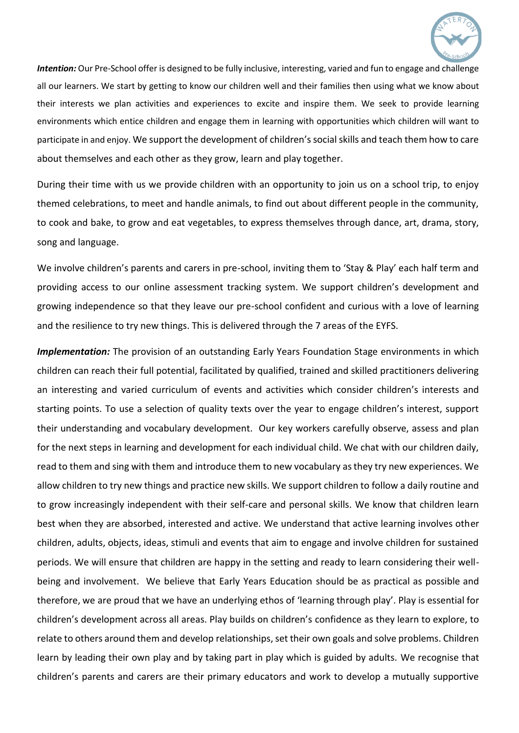

*Intention:* Our Pre-School offer is designed to be fully inclusive, interesting, varied and fun to engage and challenge all our learners. We start by getting to know our children well and their families then using what we know about their interests we plan activities and experiences to excite and inspire them. We seek to provide learning environments which entice children and engage them in learning with opportunities which children will want to participate in and enjoy. We support the development of children's social skills and teach them how to care about themselves and each other as they grow, learn and play together.

During their time with us we provide children with an opportunity to join us on a school trip, to enjoy themed celebrations, to meet and handle animals, to find out about different people in the community, to cook and bake, to grow and eat vegetables, to express themselves through dance, art, drama, story, song and language.

We involve children's parents and carers in pre-school, inviting them to 'Stay & Play' each half term and providing access to our online assessment tracking system. We support children's development and growing independence so that they leave our pre-school confident and curious with a love of learning and the resilience to try new things. This is delivered through the 7 areas of the EYFS.

*Implementation:* The provision of an outstanding Early Years Foundation Stage environments in which children can reach their full potential, facilitated by qualified, trained and skilled practitioners delivering an interesting and varied curriculum of events and activities which consider children's interests and starting points. To use a selection of quality texts over the year to engage children's interest, support their understanding and vocabulary development. Our key workers carefully observe, assess and plan for the next steps in learning and development for each individual child. We chat with our children daily, read to them and sing with them and introduce them to new vocabulary as they try new experiences. We allow children to try new things and practice new skills. We support children to follow a daily routine and to grow increasingly independent with their self-care and personal skills. We know that children learn best when they are absorbed, interested and active. We understand that active learning involves other children, adults, objects, ideas, stimuli and events that aim to engage and involve children for sustained periods. We will ensure that children are happy in the setting and ready to learn considering their wellbeing and involvement. We believe that Early Years Education should be as practical as possible and therefore, we are proud that we have an underlying ethos of 'learning through play'. Play is essential for children's development across all areas. Play builds on children's confidence as they learn to explore, to relate to others around them and develop relationships, set their own goals and solve problems. Children learn by leading their own play and by taking part in play which is guided by adults. We recognise that children's parents and carers are their primary educators and work to develop a mutually supportive